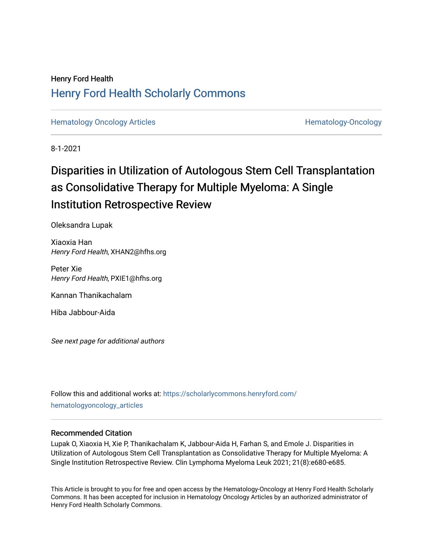# Henry Ford Health [Henry Ford Health Scholarly Commons](https://scholarlycommons.henryford.com/)

[Hematology Oncology Articles](https://scholarlycommons.henryford.com/hematologyoncology_articles) **Hematology-Oncology** 

8-1-2021

# Disparities in Utilization of Autologous Stem Cell Transplantation as Consolidative Therapy for Multiple Myeloma: A Single Institution Retrospective Review

Oleksandra Lupak

Xiaoxia Han Henry Ford Health, XHAN2@hfhs.org

Peter Xie Henry Ford Health, PXIE1@hfhs.org

Kannan Thanikachalam

Hiba Jabbour-Aida

See next page for additional authors

Follow this and additional works at: [https://scholarlycommons.henryford.com/](https://scholarlycommons.henryford.com/hematologyoncology_articles?utm_source=scholarlycommons.henryford.com%2Fhematologyoncology_articles%2F203&utm_medium=PDF&utm_campaign=PDFCoverPages) [hematologyoncology\\_articles](https://scholarlycommons.henryford.com/hematologyoncology_articles?utm_source=scholarlycommons.henryford.com%2Fhematologyoncology_articles%2F203&utm_medium=PDF&utm_campaign=PDFCoverPages)

## Recommended Citation

Lupak O, Xiaoxia H, Xie P, Thanikachalam K, Jabbour-Aida H, Farhan S, and Emole J. Disparities in Utilization of Autologous Stem Cell Transplantation as Consolidative Therapy for Multiple Myeloma: A Single Institution Retrospective Review. Clin Lymphoma Myeloma Leuk 2021; 21(8):e680-e685.

This Article is brought to you for free and open access by the Hematology-Oncology at Henry Ford Health Scholarly Commons. It has been accepted for inclusion in Hematology Oncology Articles by an authorized administrator of Henry Ford Health Scholarly Commons.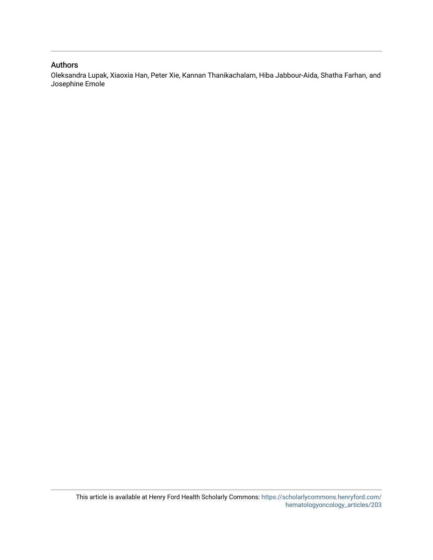## Authors

Oleksandra Lupak, Xiaoxia Han, Peter Xie, Kannan Thanikachalam, Hiba Jabbour-Aida, Shatha Farhan, and Josephine Emole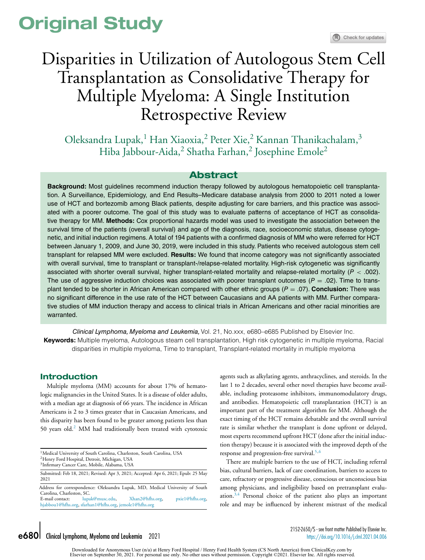# **Original Study**

# Disparities in Utilization of Autologous Stem Cell Transplantation as Consolidative Therapy for Multiple Myeloma: A Single Institution Retrospective Review

Oleksandra Lupak,<sup>1</sup> Han Xiaoxia,<sup>2</sup> Peter Xie,<sup>2</sup> Kannan Thanikachalam,<sup>3</sup> Hiba Jabbour-Aida,<sup>2</sup> Shatha Farhan,<sup>2</sup> Josephine Emole<sup>2</sup>

### **Abstract**

**Background:** Most guidelines recommend induction therapy followed by autologous hematopoietic cell transplantation. A Surveillance, Epidemiology, and End Results–Medicare database analysis from 2000 to 2011 noted a lower use of HCT and bortezomib among Black patients, despite adjusting for care barriers, and this practice was associated with a poorer outcome. The goal of this study was to evaluate patterns of acceptance of HCT as consolidative therapy for MM. **Methods:** Cox proportional hazards model was used to investigate the association between the survival time of the patients (overall survival) and age of the diagnosis, race, socioeconomic status, disease cytogenetic, and initial induction regimens. A total of 194 patients with a confirmed diagnosis of MM who were referred for HCT between January 1, 2009, and June 30, 2019, were included in this study. Patients who received autologous stem cell transplant for relapsed MM were excluded. **Results:** We found that income category was not significantly associated with overall survival, time to transplant or transplant-/relapse-related mortality. High-risk cytogenetic was significantly associated with shorter overall survival, higher transplant-related mortality and relapse-related mortality ( $P < .002$ ). The use of aggressive induction choices was associated with poorer transplant outcomes ( $P = .02$ ). Time to transplant tended to be shorter in African American compared with other ethnic groups (P = .07). **Conclusion:** There was no significant difference in the use rate of the HCT between Caucasians and AA patients with MM. Further comparative studies of MM induction therapy and access to clinical trials in African Americans and other racial minorities are warranted.

Clinical Lymphoma, Myeloma and Leukemia, Vol. 21, No.xxx, e680–e685 Published by Elsevier Inc. **Keywords:** Multiple myeloma, Autologous steam cell transplantation, High risk cytogenetic in multiple myeloma, Racial disparities in multiple myeloma, Time to transplant, Transplant-related mortality in multiple myeloma

#### **Introduction**

Multiple myeloma (MM) accounts for about 17% of hematologic malignancies in the United States. It is a disease of older adults, with a median age at diagnosis of 66 years. The incidence in African Americans is 2 to 3 times greater that in Caucasian Americans, and this disparity has been found to be greater among patients less than 50 years old.[2](#page-7-0) MM had traditionally been treated with cytotoxic

<sup>1</sup> Medical University of South Carolina, Charleston, South Carolina, USA

Submitted: Feb 18, 2021; Revised: Apr 3, 2021; Accepted: Apr 6, 2021; Epub: 25 May 2021

Address for correspondence: Oleksandra Lupak, MD, Medical University of South Carolina, Charleston, SC.<br>E-mail contact: luna  $\lim_{\alpha\to 0}$  [lupak@musc.edu,](mailto:lupak@musc.edu) [Xhan2@hfhs.org,](mailto:Xhan2@hfhs.org) [pxie1@hfhs.org,](mailto:pxie1@hfhs.org) [hjabbou1@hfhs.org,](mailto:hjabbou1@hfhs.org) [sfarhan1@hfhs.org,](mailto:sfarhan1@hfhs.org) [jemole1@hfhs.org](mailto:jemole1@hfhs.org)

agents such as alkylating agents, anthracyclines, and steroids. In the last 1 to 2 decades, several other novel therapies have become available, including proteasome inhibitors, immunomodulatory drugs, and antibodies. Hematopoietic cell transplantation (HCT) is an important part of the treatment algorithm for MM. Although the exact timing of the HCT remains debatable and the overall survival rate is similar whether the transplant is done upfront or delayed, most experts recommend upfront HCT (done after the initial induction therapy) because it is associated with the improved depth of the response and progression-free survival.<sup>[5,6](#page-7-0)</sup>

There are multiple barriers to the use of HCT, including referral bias, cultural barriers, lack of care coordination, barriers to access to care, refractory or progressive disease, conscious or unconscious bias among physicians, and ineligibility based on pretransplant evaluation. $3,4$  Personal choice of the patient also plays an important role and may be influenced by inherent mistrust of the medical

Downloaded for Anonymous User (n/a) at Henry Ford Hospital / Henry Ford Health System (CS North America) from ClinicalKey.com by<br>Elsevier on September 30, 2021. For personal use only. No other uses without permission. Copy

<sup>2</sup>Henry Ford Hospital, Detroit, Michigan, USA

<sup>3</sup>Infirmary Cancer Care, Mobile, Alabama, USA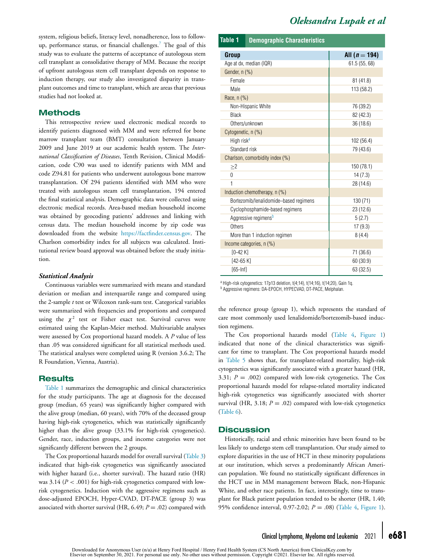<span id="page-3-0"></span>system, religious beliefs, literacy level, nonadherence, loss to follow-up, performance status, or financial challenges.<sup>[7](#page-7-0)</sup> The goal of this study was to evaluate the patterns of acceptance of autologous stem cell transplant as consolidative therapy of MM. Because the receipt of upfront autologous stem cell transplant depends on response to induction therapy, our study also investigated disparity in transplant outcomes and time to transplant, which are areas that previous studies had not looked at.

#### **Methods**

This retrospective review used electronic medical records to identify patients diagnosed with MM and were referred for bone marrow transplant team (BMT) consultation between January 2009 and June 2019 at our academic health system. The *International Classification of Diseases*, Tenth Revision, Clinical Modification, code C90 was used to identify patients with MM and code Z94.81 for patients who underwent autologous bone marrow transplantation. Of 294 patients identified with MM who were treated with autologous steam cell transplantation, 194 entered the final statistical analysis. Demographic data were collected using electronic medical records. Area-based median household income was obtained by geocoding patients' addresses and linking with census data. The median household income by zip code was downloaded from the website [https://factfinder.census.gov.](https://factfinder.census.gov) The Charlson comorbidity index for all subjects was calculated. Institutional review board approval was obtained before the study initiation.

#### *Statistical Analysis*

Continuous variables were summarized with means and standard deviation or median and interquartile range and compared using the 2-sample *t* test or Wilcoxon rank-sum test. Categorical variables were summarized with frequencies and proportions and compared using the  $\chi^2$  test or Fisher exact test. Survival curves were estimated using the Kaplan-Meier method. Multivariable analyses were assessed by Cox proportional hazard models. A *P* value of less than .05 was considered significant for all statistical methods used. The statistical analyses were completed using R (version 3.6.2; The R Foundation, Vienna, Austria).

#### **Results**

Table 1 summarizes the demographic and clinical characteristics for the study participants. The age at diagnosis for the deceased group (median, 65 years) was significantly higher compared with the alive group (median, 60 years), with 70% of the deceased group having high-risk cytogenetics, which was statistically significantly higher than the alive group (33.1% for high-risk cytogenetics). Gender, race, induction groups, and income categories were not significantly different between the 2 groups.

The Cox proportional hazards model for overall survival [\(Table](#page-5-0) 3) indicated that high-risk cytogenetics was significantly associated with higher hazard (i.e., shorter survival). The hazard ratio (HR) was 3.14 (*P* < .001) for high-risk cytogenetics compared with lowrisk cytogenetics. Induction with the aggressive regimens such as dose-adjusted EPOCH, Hyper-CVAD, DT-PACE (group 3) was associated with shorter survival (HR,  $6.49$ ;  $P = .02$ ) compared with

## *Oleksandra Lupak et al*

#### **Table 1 Demographic Characteristics**

| Group                                  | All $(n = 194)$ |
|----------------------------------------|-----------------|
| Age at dx, median (IQR)                | 61.5(55, 68)    |
| Gender, n (%)                          |                 |
| Female                                 | 81(41.8)        |
| Male                                   | 113 (58.2)      |
| Race, n (%)                            |                 |
| Non-Hispanic White                     | 76 (39.2)       |
| <b>Black</b>                           | 82 (42.3)       |
| Others/unknown                         | 36 (18.6)       |
| Cytogenetic, n (%)                     |                 |
| High risk <sup>a</sup>                 | 102 (56.4)      |
| Standard risk                          | 79 (43.6)       |
| Charlson, comorbidity index (%)        |                 |
| $\geq$ 2                               | 150 (78.1)      |
| $\theta$                               | 14(7.3)         |
| $\overline{1}$                         | 28 (14.6)       |
| Induction chemotherapy, n (%)          |                 |
| Bortezomib/lenalidomide-based regimens | 130 (71)        |
| Cyclophosphamide-based regimens        | 23 (12.6)       |
| Aggressive regimens <sup>b</sup>       | 5(2.7)          |
| Others                                 | 17(9.3)         |
| More than 1 induction regimen          | 8(4.4)          |
| Income categories, n (%)               |                 |
| $[0-42 K]$                             | 71 (36.6)       |
| $[42-65 K]$                            | 60 (30.9)       |
| $[65 Infl$                             | 63 (32.5)       |

<sup>a</sup> High-risk cytogenetics: 17p13 deletion, t(4;14), t(14;16), t(14;20), Gain 1q. <sup>b</sup> Aggressive regimens: DA-EPOCH, HYPECVAD, DT-PACE, Melphalan.

the reference group (group 1), which represents the standard of care most commonly used lenalidomide/bortezomib-based induction regimens.

The Cox proportional hazards model [\(Table](#page-6-0) 4, [Figure](#page-4-0) 1) indicated that none of the clinical characteristics was significant for time to transplant. The Cox proportional hazards model in [Table](#page-6-0) 5 shows that, for transplant-related mortality, high-risk cytogenetics was significantly associated with a greater hazard (HR, 3.31; *P* = .002) compared with low-risk cytogenetics. The Cox proportional hazards model for relapse-related mortality indicated high-risk cytogenetics was significantly associated with shorter survival (HR,  $3.18$ ;  $P = .02$ ) compared with low-risk cytogenetics [\(Table](#page-6-0) 6).

#### **Discussion**

Historically, racial and ethnic minorities have been found to be less likely to undergo stem cell transplantation. Our study aimed to explore disparities in the use of HCT in these minority populations at our institution, which serves a predominantly African American population. We found no statistically significant differences in the HCT use in MM management between Black, non-Hispanic White, and other race patients. In fact, interestingly, time to transplant for Black patient population tended to be shorter (HR, 1.40; 95% confidence interval, 0.97-2.02; *P* = .08) [\(Table](#page-6-0) 4, [Figure](#page-4-0) 1).

Downloaded for Anonymous User (n/a) at Henry Ford Hospital / Henry Ford Health System (CS North America) from ClinicalKey.com by Elsevier on September 30, 2021. For personal use only. No other uses without permission. Copyright ©2021. Elsevier Inc. All rights reserved.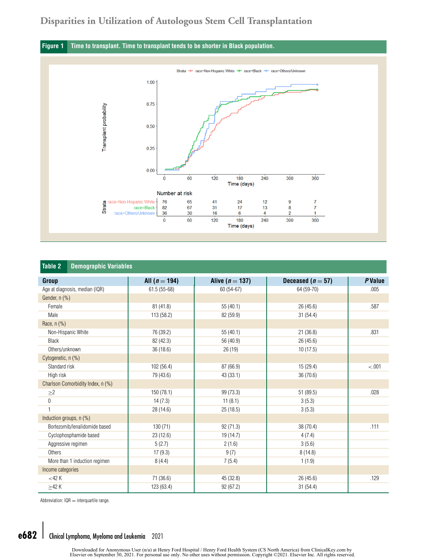## <span id="page-4-0"></span>**Disparities in Utilization of Autologous Stem Cell Transplantation**

### **Figure 1 Time to transplant. Time to transplant tends to be shorter in Black population.**



| <b>Table 2</b><br><b>Demographic Variables</b> |                 |                   |                   |         |
|------------------------------------------------|-----------------|-------------------|-------------------|---------|
| Group                                          | All $(n = 194)$ | Alive $(n = 137)$ | Deceased $(n=57)$ | P Value |
| Age at diagnosis, median (IQR)                 | $61.5(55-68)$   | 60 (54-67)        | 64 (59-70)        | .005    |
| Gender, n (%)                                  |                 |                   |                   |         |
| Female                                         | 81 (41.8)       | 55 (40.1)         | 26(45.6)          | .587    |
| Male                                           | 113 (58.2)      | 82 (59.9)         | 31(54.4)          |         |
| Race, n (%)                                    |                 |                   |                   |         |
| Non-Hispanic White                             | 76 (39.2)       | 55 (40.1)         | 21(36.8)          | .831    |
| <b>Black</b>                                   | 82 (42.3)       | 56 (40.9)         | 26(45.6)          |         |
| Others/unknown                                 | 36 (18.6)       | 26(19)            | 10(17.5)          |         |
| Cytogenetic, n (%)                             |                 |                   |                   |         |
| Standard risk                                  | 102 (56.4)      | 87 (66.9)         | 15(29.4)          | $-.001$ |
| High risk                                      | 79 (43.6)       | 43 (33.1)         | 36 (70.6)         |         |
| Charlson Comorbidity Index, n (%)              |                 |                   |                   |         |
| $\geq$ 2                                       | 150 (78.1)      | 99 (73.3)         | 51 (89.5)         | .028    |
| 0                                              | 14(7.3)         | 11(8.1)           | 3(5.3)            |         |
| $\mathbf{1}$                                   | 28 (14.6)       | 25 (18.5)         | 3(5.3)            |         |
| Induction groups, n (%)                        |                 |                   |                   |         |
| Bortezomib/lenalidomide based                  | 130(71)         | 92 (71.3)         | 38 (70.4)         | .111    |
| Cyclophosphamide based                         | 23(12.6)        | 19 (14.7)         | 4(7.4)            |         |
| Aggressive regimen                             | 5(2.7)          | 2(1.6)            | 3(5.6)            |         |
| Others                                         | 17(9.3)         | 9(7)              | 8(14.8)           |         |
| More than 1 induction regimen                  | 8(4.4)          | 7(5.4)            | 1(1.9)            |         |
| Income categories                              |                 |                   |                   |         |
| $<$ 42 K                                       | 71 (36.6)       | 45 (32.8)         | 26(45.6)          | .129    |
| >42 K                                          | 123 (63.4)      | 92 (67.2)         | 31(54.4)          |         |

Abbreviation:  $IQR =$  interquartile range.

# e682 Clinical Lymphoma, Myeloma and Leukemia 2021

Downloaded for Anonymous User (n/a) at Henry Ford Hospital / Henry Ford Health System (CS North America) from ClinicalKey.com by<br>Elsevier on September 30, 2021. For personal use only. No other uses without permission. Copy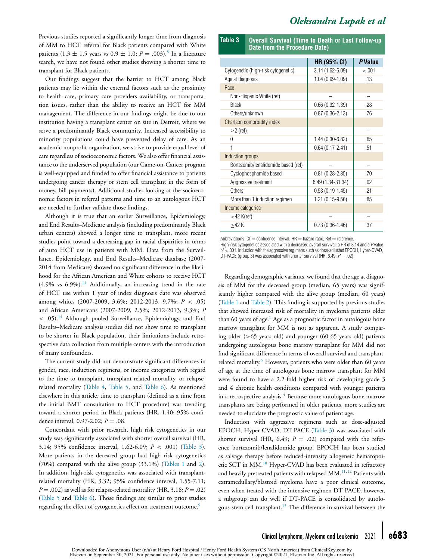# *Oleksandra Lupak et al*

<span id="page-5-0"></span>Previous studies reported a significantly longer time from diagnosis of MM to HCT referral for Black patients compared with White patients  $(1.3 \pm 1.5 \text{ years} \text{ vs } 0.9 \pm 1.0; P = .003).$ <sup>[8](#page-7-0)</sup> In a literature search, we have not found other studies showing a shorter time to transplant for Black patients.

Our findings suggest that the barrier to HCT among Black patients may lie within the external factors such as the proximity to health care, primary care providers availability, or transportation issues, rather than the ability to receive an HCT for MM management. The difference in our findings might be due to our institution having a transplant center on site in Detroit, where we serve a predominantly Black community. Increased accessibility to minority populations could have prevented delay of care. As an academic nonprofit organization, we strive to provide equal level of care regardless of socioeconomic factors. We also offer financial assistance to the underserved population (our Game-on-Cancer program is well-equipped and funded to offer financial assistance to patients undergoing cancer therapy or stem cell transplant in the form of money, bill payments). Additional studies looking at the socioeconomic factors in referral patterns and time to an autologous HCT are needed to further validate those findings.

Although it is true that an earlier Surveillance, Epidemiology, and End Results–Medicare analysis (including predominantly Black urban centers) showed a longer time to transplant, more recent studies point toward a decreasing gap in racial disparities in terms of auto HCT use in patients with MM. Data from the Surveillance, Epidemiology, and End Results–Medicare database (2007- 2014 from Medicare) showed no significant difference in the likelihood for the African American and White cohorts to receive HCT  $(4.9\%$  vs  $6.9\%)$ .<sup>[14](#page-7-0)</sup> Additionally, an increasing trend in the rate of HCT use within 1 year of index diagnosis date was observed among whites (2007-2009, 3.6%; 2012-2013, 9.7%; *P* < .05) and African Americans (2007-2009, 2.5%; 2012-2013, 9.3%; *P*  $<$  .05).<sup>[14](#page-7-0)</sup> Although pooled Surveillance, Epidemiology, and End Results–Medicare analysis studies did not show time to transplant to be shorter in Black population, their limitations include retrospective data collection from multiple centers with the introduction of many confounders.

The current study did not demonstrate significant differences in gender, race, induction regimens, or income categories with regard to the time to transplant, transplant-related mortality, or relapserelated mortality [\(Table](#page-6-0) 4, [Table](#page-6-0) 5, and [Table](#page-6-0) 6). As mentioned elsewhere in this article, time to transplant (defined as a time from the initial BMT consultation to HCT procedure) was trending toward a shorter period in Black patients (HR, 1.40; 95% confidence interval, 0.97-2.02; *P* = .08.

Concordant with prior research, high risk cytogenetics in our study was significantly associated with shorter overall survival (HR, 3.14; 95% confidence interval, 1.62-6.09; *P* < .001) (Table 3). More patients in the deceased group had high risk cytogenetics (70%) compared with the alive group (33.1%) [\(Tables](#page-3-0) 1 and [2\)](#page-4-0). In addition, high-risk cytogenetics was associated with transplantrelated mortality (HR, 3.32; 95% confidence interval, 1.55-7.11;  $P = .002$ ) as well as for relapse-related mortality (HR, 3.18;  $P = .02$ ) [\(Table](#page-6-0) 5 and [Table](#page-6-0) 6). Those findings are similar to prior studies regarding the effect of cytogenetics effect on treatment outcome.<sup>[9](#page-7-0)</sup>

| Table 3 Overall Survival (Time to Death or Last Follow-up |  |
|-----------------------------------------------------------|--|
| Date from the Procedure Date)                             |  |

|                                     | <b>HR (95% CI)</b>  | P Value |
|-------------------------------------|---------------------|---------|
| Cytogenetic (high-risk cytogenetic) | $3.14(1.62 - 6.09)$ | $-.001$ |
| Age at diagnosis                    | $1.04(0.99 - 1.09)$ | .13     |
| Race                                |                     |         |
| Non-Hispanic White (ref)            |                     |         |
| <b>Black</b>                        | $0.66(0.32 - 1.39)$ | .28     |
| Others/unknown                      | $0.87(0.36 - 2.13)$ | .76     |
| Charlson comorbidity index          |                     |         |
| $\geq$ (ref)                        |                     |         |
| U                                   | $1.44(0.30-6.82)$   | .65     |
|                                     | $0.64(0.17 - 2.41)$ | .51     |
| Induction groups                    |                     |         |
| Bortezomib/lenalidomide based (ref) |                     |         |
| Cyclophosphamide based              | $0.81(0.28 - 2.35)$ | .70     |
| Aggressive treatment                | 6.49 (1.34-31.34)   | .02     |
| Others                              | $0.53(0.19-1.45)$   | .21     |
| More than 1 induction regimen       | 1.21 (0.15-9.56)    | .85     |
| Income categories                   |                     |         |
| $<$ 42 K(ref)                       |                     |         |
| >42 K                               | $0.73(0.36 - 1.46)$ | .37     |

Abbreviations:  $CI =$  confidence interval;  $HR =$  hazard ratio; Ref  $=$  reference.

High-risk cytogenetics associated with a decreased overall survival: a HR of 3.14 and a P value of <.001. Induction with the aggressive regimens such as dose-adjusted EPOCH, Hyper-CVAD, DT-PACE (group 3) was associated with shorter survival (HR, 6.49;  $P = .02$ ).

Regarding demographic variants, we found that the age at diagnosis of MM for the deceased group (median, 65 years) was significantly higher compared with the alive group (median, 60 years) [\(Table](#page-3-0) 1 and [Table](#page-4-0) 2). This finding is supported by previous studies that showed increased risk of mortality in myeloma patients older than 60 years of age.<sup>[1](#page-7-0)</sup> Age as a prognostic factor in autologous bone marrow transplant for MM is not as apparent. A study comparing older (>65 years old) and younger (60-65 years old) patients undergoing autologous bone marrow transplant for MM did not find significant difference in terms of overall survival and transplant-related mortality.<sup>[5](#page-7-0)</sup> However, patients who were older than 60 years of age at the time of autologous bone marrow transplant for MM were found to have a 2.2-fold higher risk of developing grade 3 and 4 chronic health conditions compared with younger patients in a retrospective analysis.<sup>[4](#page-7-0)</sup> Because more autologous bone marrow transplants are being performed in older patients, more studies are needed to elucidate the prognostic value of patient age.

Induction with aggressive regimens such as dose-adjusted EPOCH, Hyper-CVAD, DT-PACE (Table 3) was associated with shorter survival (HR, 6.49;  $P = .02$ ) compared with the reference bortezomib/lenalidomide group. EPOCH has been studied as salvage therapy before reduced-intensity allogeneic hematopoietic SCT in MM.[10](#page-7-0) Hyper-CVAD has been evaluated in refractory and heavily pretreated patients with relapsed MM. $^{11,12}$  $^{11,12}$  $^{11,12}$  Patients with extramedullary/blastoid myeloma have a poor clinical outcome, even when treated with the intensive regimen DT-PACE; however, a subgroup can do well if DT-PACE is consolidated by autolo-gous stem cell transplant.<sup>[13](#page-7-0)</sup> The difference in survival between the

Downloaded for Anonymous User (n/a) at Henry Ford Hospital / Henry Ford Health System (CS North America) from ClinicalKey.com by Elsevier on September 30, 2021. For personal use only. No other uses without permission. Copyright ©2021. Elsevier Inc. All rights reserved.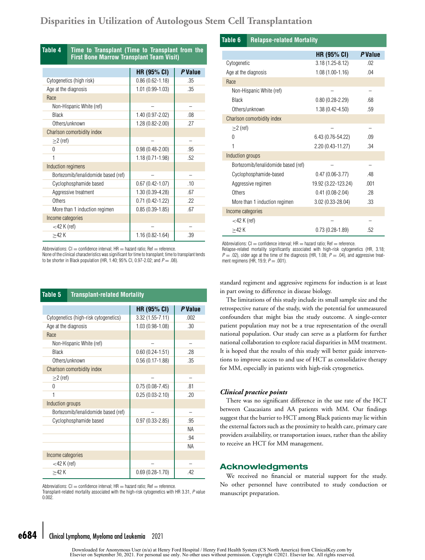# <span id="page-6-0"></span>**Disparities in Utilization of Autologous Stem Cell Transplantation**

| Table 4<br>Time to Transplant (Time to Transplant from the<br><b>First Bone Marrow Transplant Team Visit)</b> |                                     |                     |         |
|---------------------------------------------------------------------------------------------------------------|-------------------------------------|---------------------|---------|
|                                                                                                               |                                     | HR (95% CI)         | P Value |
|                                                                                                               | Cytogenetics (high risk)            | $0.86(0.62 - 1.18)$ | .35     |
| Age at the diagnosis                                                                                          |                                     | 1.01 (0.99-1.03)    | .35     |
| Race                                                                                                          |                                     |                     |         |
|                                                                                                               | Non-Hispanic White (ref)            |                     |         |
| <b>Black</b>                                                                                                  |                                     | 1.40 (0.97-2.02)    | .08     |
|                                                                                                               | Others/unknown                      | 1.28 (0.82-2.00)    | .27     |
|                                                                                                               | Charlson comorbidity index          |                     |         |
| $\geq$ (ref)                                                                                                  |                                     |                     |         |
| $\Omega$                                                                                                      |                                     | $0.98(0.48 - 2.00)$ | .95     |
|                                                                                                               |                                     | $1.18(0.71 - 1.98)$ | .52     |
| Induction regimens                                                                                            |                                     |                     |         |
|                                                                                                               | Bortezomib/lenalidomide based (ref) |                     |         |
|                                                                                                               | Cyclophosphamide based              | $0.67(0.42 - 1.07)$ | .10     |
|                                                                                                               | Aggressive treatment                | 1.30 (0.39-4.28)    | .67     |
| Others                                                                                                        |                                     | $0.71(0.42 - 1.22)$ | .22     |
|                                                                                                               | More than 1 induction regimen       | $0.85(0.39-1.85)$   | .67     |
| Income categories                                                                                             |                                     |                     |         |
| $<$ 42 K (ref)                                                                                                |                                     |                     |         |
| >42 K                                                                                                         |                                     | $1.16(0.82 - 1.64)$ | .39     |

Abbreviations:  $Cl =$  confidence interval;  $HR =$  hazard ratio; Ref = reference.

None of the clinical characteristics was significant for time to transplant; time to transplant tends to be shorter in Black population (HR, 1.40; 95% CI, 0.97-2.02; and  $P = .08$ ).

| <b>Transplant-related Mortality</b><br>Table 5 |                                       |                     |         |
|------------------------------------------------|---------------------------------------|---------------------|---------|
|                                                |                                       | <b>HR (95% CI)</b>  | P Value |
|                                                | Cytogenetics (high-risk cytogenetics) | $3.32(1.55 - 7.11)$ | .002    |
| Age at the diagnosis                           |                                       | 1.03 (0.98-1.08)    | .30     |
| Race                                           |                                       |                     |         |
|                                                | Non-Hispanic White (ref)              |                     |         |
| <b>Black</b>                                   |                                       | $0.60(0.24-1.51)$   | .28     |
|                                                | Others/unknown                        | $0.56(0.17 - 1.88)$ | .35     |
|                                                | Charlson comorbidity index            |                     |         |
| $\geq$ (ref)                                   |                                       |                     |         |
| 0                                              |                                       | $0.75(0.08 - 7.45)$ | .81     |
|                                                |                                       | $0.25(0.03 - 2.10)$ | .20     |
| Induction groups                               |                                       |                     |         |
|                                                | Bortezomib/lenalidomide based (ref)   |                     |         |
|                                                | Cyclophosphamide based                | $0.97(0.33 - 2.85)$ | .95     |
|                                                |                                       |                     | ΝA      |
|                                                |                                       |                     | .94     |
|                                                |                                       |                     | ΝA      |
| Income categories                              |                                       |                     |         |
| $<$ 42 K (ref)                                 |                                       |                     |         |
| >42 K                                          |                                       | $0.69(0.28 - 1.70)$ | .42     |

Abbreviations:  $CI =$  confidence interval;  $HR =$  hazard ratio;  $Ref =$  reference.

Transplant-related mortality associated with the high-risk cytogenetics with HR 3.31, P value 0.002.

#### **Table 6 Relapse-related Mortality**

|                                     | <b>HR (95% CI)</b>  | P Value |
|-------------------------------------|---------------------|---------|
| Cytogenetic                         | $3.18(1.25 - 8.12)$ | .02     |
| Age at the diagnosis                | $1.08(1.00-1.16)$   | .04     |
| Race                                |                     |         |
| Non-Hispanic White (ref)            |                     |         |
| <b>Black</b>                        | $0.80(0.28 - 2.29)$ | .68     |
| Others/unknown                      | $1.38(0.42 - 4.50)$ | .59     |
| Charlson comorbidity index          |                     |         |
| $\geq$ (ref)                        |                     |         |
| O                                   | 6.43 (0.76-54.22)   | .09     |
|                                     | 2.20 (0.43-11.27)   | .34     |
| Induction groups                    |                     |         |
| Bortezomib/lenalidomide based (ref) |                     |         |
| Cyclophosphamide-based              | $0.47(0.06 - 3.77)$ | .48     |
| Aggressive regimen                  | 19.92 (3.22-123.24) | .001    |
| Others                              | $0.41(0.08 - 2.04)$ | .28     |
| More than 1 induction regimen       | 3.02 (0.33-28.04)   | .33     |
| Income categories                   |                     |         |
| $<$ 42 K (ref)                      |                     |         |
| >42 K                               | $0.73(0.28-1.89)$   | .52     |

Abbreviations:  $CI =$  confidence interval;  $HR =$  hazard ratio;  $Ref =$  reference.

Relapse-related mortality significantly associated with high-risk cytogenetics (HR, 3.18;  $P = .02$ ), older age at the time of the diagnosis (HR, 1.08;  $P = .04$ ), and aggressive treatment regimens (HR, 19.9;  $P = .001$ ).

standard regiment and aggressive regimens for induction is at least in part owing to difference in disease biology.

The limitations of this study include its small sample size and the retrospective nature of the study, with the potential for unmeasured confounders that might bias the study outcome. A single-center patient population may not be a true representation of the overall national population. Our study can serve as a platform for further national collaboration to explore racial disparities in MM treatment. It is hoped that the results of this study will better guide interventions to improve access to and use of HCT as consolidative therapy for MM, especially in patients with high-risk cytogenetics.

#### *Clinical practice points*

There was no significant difference in the use rate of the HCT between Caucasians and AA patients with MM. Our findings suggest that the barrier to HCT among Black patients may lie within the external factors such as the proximity to health care, primary care providers availability, or transportation issues, rather than the ability to receive an HCT for MM management.

#### **Acknowledgments**

We received no financial or material support for the study. No other personnel have contributed to study conduction or manuscript preparation.